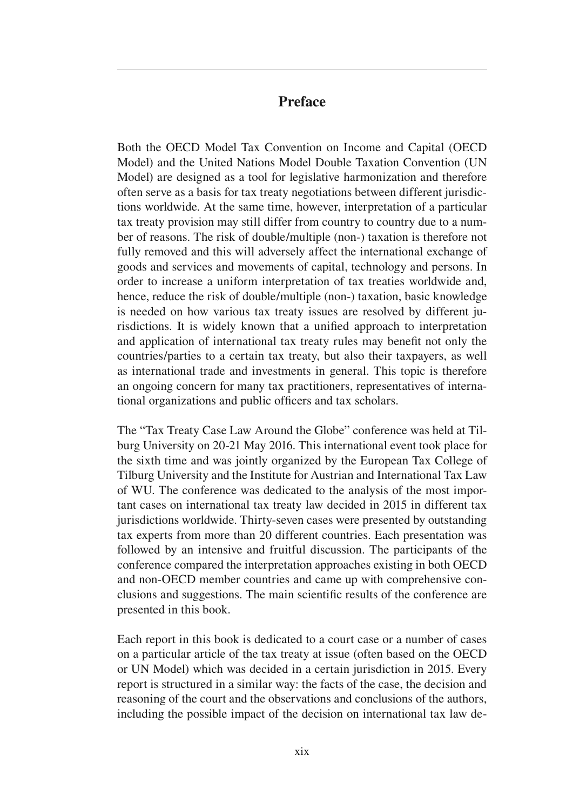## **Preface**

Both the OECD Model Tax Convention on Income and Capital (OECD Model) and the United Nations Model Double Taxation Convention (UN Model) are designed as a tool for legislative harmonization and therefore often serve as a basis for tax treaty negotiations between different jurisdictions worldwide. At the same time, however, interpretation of a particular tax treaty provision may still differ from country to country due to a number of reasons. The risk of double/multiple (non-) taxation is therefore not fully removed and this will adversely affect the international exchange of goods and services and movements of capital, technology and persons. In order to increase a uniform interpretation of tax treaties worldwide and, hence, reduce the risk of double/multiple (non-) taxation, basic knowledge is needed on how various tax treaty issues are resolved by different jurisdictions. It is widely known that a unified approach to interpretation and application of international tax treaty rules may benefit not only the countries/parties to a certain tax treaty, but also their taxpayers, as well as international trade and investments in general. This topic is therefore an ongoing concern for many tax practitioners, representatives of international organizations and public officers and tax scholars.

The "Tax Treaty Case Law Around the Globe" conference was held at Tilburg University on 20-21 May 2016. This international event took place for the sixth time and was jointly organized by the European Tax College of Tilburg University and the Institute for Austrian and International Tax Law of WU. The conference was dedicated to the analysis of the most important cases on international tax treaty law decided in 2015 in different tax jurisdictions worldwide. Thirty-seven cases were presented by outstanding tax experts from more than 20 different countries. Each presentation was followed by an intensive and fruitful discussion. The participants of the conference compared the interpretation approaches existing in both OECD and non-OECD member countries and came up with comprehensive conclusions and suggestions. The main scientific results of the conference are presented in this book.

Each report in this book is dedicated to a court case or a number of cases on a particular article of the tax treaty at issue (often based on the OECD or UN Model) which was decided in a certain jurisdiction in 2015. Every report is structured in a similar way: the facts of the case, the decision and reasoning of the court and the observations and conclusions of the authors, including the possible impact of the decision on international tax law de-